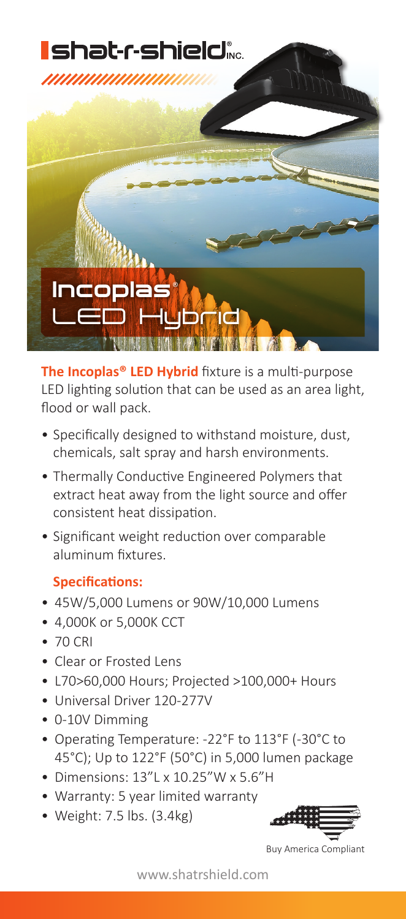

**The Incoplas® LED Hybrid** fixture is a multi-purpose LED lighting solution that can be used as an area light, flood or wall pack.

- Specifically designed to withstand moisture, dust, chemicals, salt spray and harsh environments.
- Thermally Conductive Engineered Polymers that extract heat away from the light source and offer consistent heat dissipation.
- Significant weight reduction over comparable aluminum fixtures.

## **Specifications:**

- 45W/5,000 Lumens or 90W/10,000 Lumens
- 4,000K or 5,000K CCT
- 70 CRI
- Clear or Frosted Lens
- L70>60,000 Hours; Projected >100,000+ Hours
- Universal Driver 120-277V
- 0-10V Dimming
- Operating Temperature: -22°F to 113°F (-30°C to 45°C); Up to 122°F (50°C) in 5,000 lumen package
- Dimensions: 13"L x 10.25"W x 5.6"H
- Warranty: 5 year limited warranty
- Weight: 7.5 lbs. (3.4kg)



Buy America Compliant